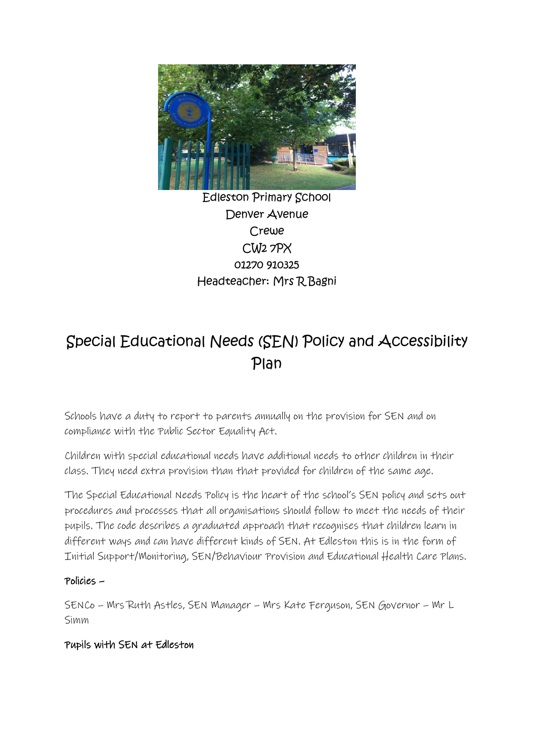

## Edleston Primary School Denver Avenue Crewe CW2 7PX 01270 910325 Headteacher: Mrs R Bagni

# Special Educational Needs (SEN) Policy and Accessibility Plan

Schools have a duty to report to parents annually on the provision for SEN and on compliance with the Public Sector Equality Act.

Children with special educational needs have additional needs to other children in their class. They need extra provision than that provided for children of the same age.

The Special Educational Needs Policy is the heart of the school's SEN policy and sets out procedures and processes that all organisations should follow to meet the needs of their pupils. The code describes a graduated approach that recognises that children learn in different ways and can have different kinds of SEN. At Edleston this is in the form of Initial Support/Monitoring, SEN/Behaviour Provision and Educational Health Care Plans.

#### Policies –

SENCo – Mrs Ruth Astles, SEN Manager – Mrs Kate Ferguson, SEN Governor – Mr L Simm

#### Pupils with SEN at Edleston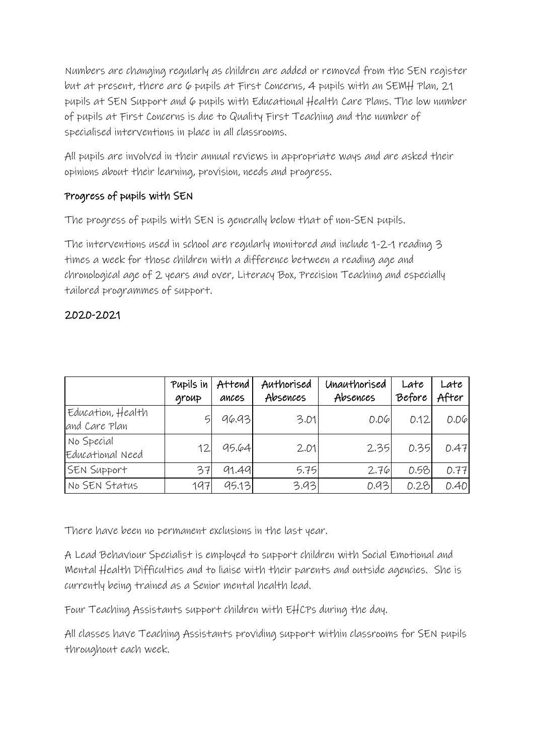Numbers are changing regularly as children are added or removed from the SEN register but at present, there are 6 pupils at First Concerns, 4 pupils with an SEMH Plan, 21 pupils at SEN Support and 6 pupils with Educational Health Care Plans. The low number of pupils at First Concerns is due to Quality First Teaching and the number of specialised interventions in place in all classrooms.

All pupils are involved in their annual reviews in appropriate ways and are asked their opinions about their learning, provision, needs and progress.

## Progress of pupils with SEN

The progress of pupils with SEN is generally below that of non-SEN pupils.

The interventions used in school are regularly monitored and include 1-2-1 reading 3 times a week for those children with a difference between a reading age and chronological age of 2 years and over, Literacy Box, Precision Teaching and especially tailored programmes of support.

## 2020-2021

|                                    | Pupils in<br>group | Attend<br>ances | Authorised<br>Absences | Unauthorised<br>Absences | Late<br>Before | Late<br>After |
|------------------------------------|--------------------|-----------------|------------------------|--------------------------|----------------|---------------|
| Education, Health<br>and Care Plan | G                  | 96.93           | 3.01                   | $D.D\varphi$             | 0.12           | $D.D\varphi$  |
| No Special<br>Educational Need     | 12.                | 95.64           | 2.01                   | 2.35                     | 0.35           | 0.47          |
| SEN Support                        | 37                 | 91.49           | 5.75                   | 2.76                     | 0.58           | 0.77          |
| No SEN Status                      | 197                | 95.13           | 3.93                   | 0.93                     | 0.28           | 0.40          |

There have been no permanent exclusions in the last year.

A Lead Behaviour Specialist is employed to support children with Social Emotional and Mental Health Difficulties and to liaise with their parents and outside agencies. She is currently being trained as a Senior mental health lead.

Four Teaching Assistants support children with EHCPs during the day.

All classes have Teaching Assistants providing support within classrooms for SEN pupils throughout each week.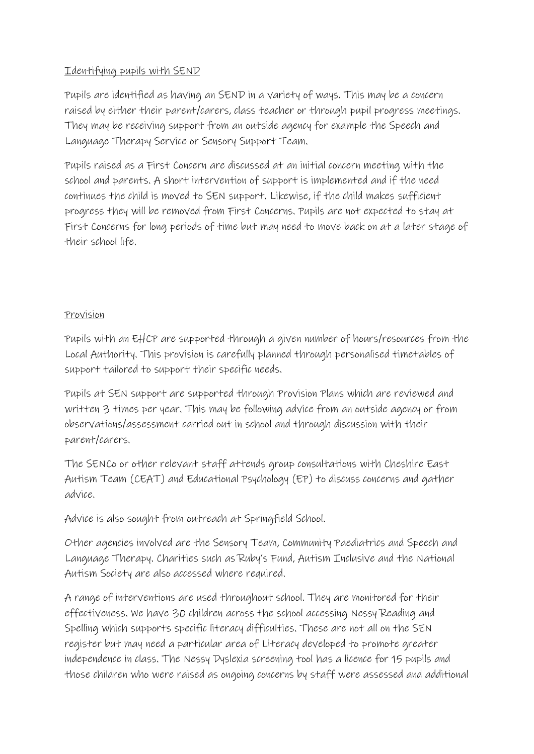#### Identifying pupils with SEND

Pupils are identified as having an SEND in a variety of ways. This may be a concern raised by either their parent/carers, class teacher or through pupil progress meetings. They may be receiving support from an outside agency for example the Speech and Language Therapy Service or Sensory Support Team.

Pupils raised as a First Concern are discussed at an initial concern meeting with the school and parents. A short intervention of support is implemented and if the need continues the child is moved to SEN support. Likewise, if the child makes sufficient progress they will be removed from First Concerns. Pupils are not expected to stay at First Concerns for long periods of time but may need to move back on at a later stage of their school life.

#### Provision

Pupils with an EHCP are supported through a given number of hours/resources from the Local Authority. This provision is carefully planned through personalised timetables of support tailored to support their specific needs.

Pupils at SEN support are supported through Provision Plans which are reviewed and written 3 times per year. This may be following advice from an outside agency or from observations/assessment carried out in school and through discussion with their parent/carers.

The SENCo or other relevant staff attends group consultations with Cheshire East Autism Team (CEAT) and Educational Psychology (EP) to discuss concerns and gather advice.

Advice is also sought from outreach at Springfield School.

Other agencies involved are the Sensory Team, Community Paediatrics and Speech and Language Therapy. Charities such as Ruby's Fund, Autism Inclusive and the National Autism Society are also accessed where required.

A range of interventions are used throughout school. They are monitored for their effectiveness. We have 30 children across the school accessing Nessy Reading and Spelling which supports specific literacy difficulties. These are not all on the SEN register but may need a particular area of Literacy developed to promote greater independence in class. The Nessy Dyslexia screening tool has a licence for 15 pupils and those children who were raised as ongoing concerns by staff were assessed and additional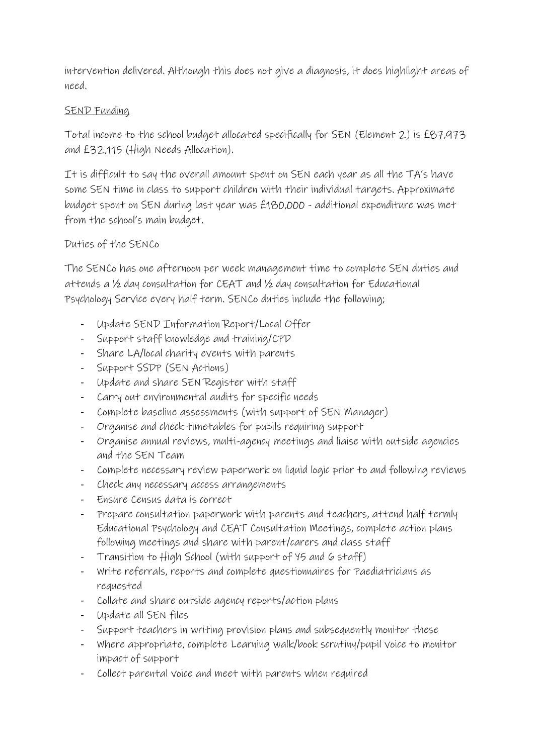intervention delivered. Although this does not give a diagnosis, it does highlight areas of need.

#### SEND Funding

Total income to the school budget allocated specifically for SEN (Element 2) is £87,973 and £32,115 (High Needs Allocation).

It is difficult to say the overall amount spent on SEN each year as all the TA's have some SEN time in class to support children with their individual targets. Approximate budget spent on SEN during last year was £180,000 - additional expenditure was met from the school's main budget.

#### Duties of the SENCo

The SENCo has one afternoon per week management time to complete SEN duties and attends a ½ day consultation for CEAT and ½ day consultation for Educational Psychology Service every half term. SENCo duties include the following;

- Update SEND Information Report/Local Offer
- Support staff knowledge and training/CPD
- Share LA/local charity events with parents
- Support SSDP (SEN Actions)
- Update and share SEN Register with staff
- Carry out environmental audits for specific needs
- Complete baseline assessments (with support of SEN Manager)
- Organise and check timetables for pupils requiring support
- Organise annual reviews, multi-agency meetings and liaise with outside agencies and the SEN Team
- Complete necessary review paperwork on liquid logic prior to and following reviews
- Check any necessary access arrangements
- Ensure Census data is correct
- Prepare consultation paperwork with parents and teachers, attend half termly Educational Psychology and CEAT Consultation Meetings, complete action plans following meetings and share with parent/carers and class staff
- Transition to High School (with support of Y5 and 6 staff)
- Write referrals, reports and complete questionnaires for Paediatricians as requested
- Collate and share outside agency reports/action plans
- Update all SEN files
- Support teachers in writing provision plans and subsequently monitor these
- Where appropriate, complete Learning walk/book scrutiny/pupil voice to monitor impact of support
- Collect parental voice and meet with parents when required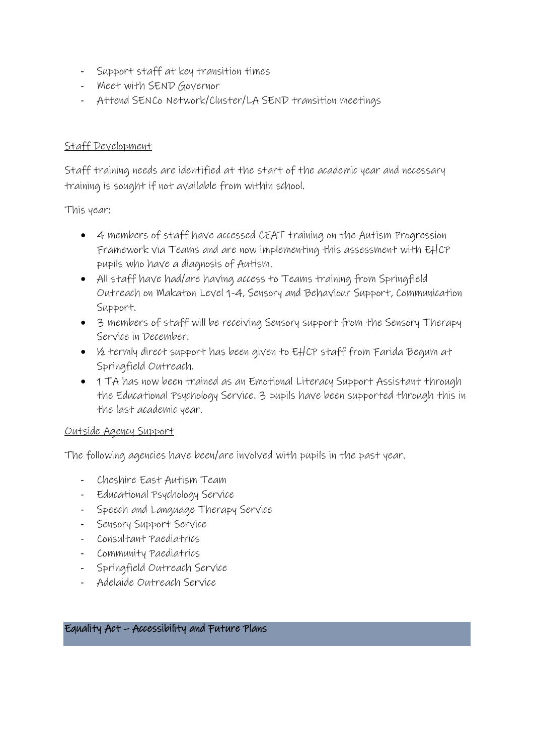- Support staff at key transition times
- Meet with SEND Governor
- Attend SENCo Network/Cluster/LA SEND transition meetings

#### Staff Development

Staff training needs are identified at the start of the academic year and necessary training is sought if not available from within school.

This year:

- 4 members of staff have accessed CEAT training on the Autism Progression Framework via Teams and are now implementing this assessment with EHCP pupils who have a diagnosis of Autism.
- All staff have had/are having access to Teams training from Springfield Outreach on Makaton Level 1-4, Sensory and Behaviour Support, Communication Support.
- 3 members of staff will be receiving Sensory support from the Sensory Therapy Service in December.
- ½ termly direct support has been given to EHCP staff from Farida Begum at Springfield Outreach.
- 1 TA has now been trained as an Emotional Literacy Support Assistant through the Educational Psychology Service. 3 pupils have been supported through this in the last academic year.

#### Outside Agency Support

The following agencies have been/are involved with pupils in the past year.

- Cheshire East Autism Team
- Educational Psychology Service
- Speech and Language Therapy Service
- Sensory Support Service
- Consultant Paediatrics
- Community Paediatrics
- Springfield Outreach Service
- Adelaide Outreach Service

#### Equality Act – Accessibility and Future Plans